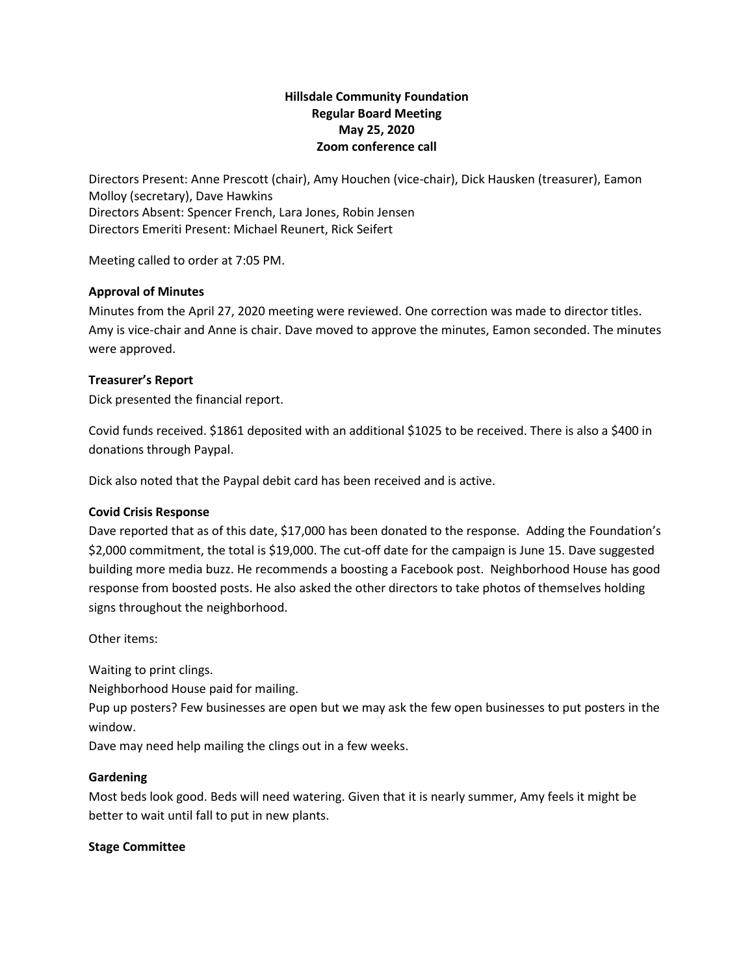# **Hillsdale Community Foundation Regular Board Meeting May 25, 2020 Zoom conference call**

Directors Present: Anne Prescott (chair), Amy Houchen (vice-chair), Dick Hausken (treasurer), Eamon Molloy (secretary), Dave Hawkins Directors Absent: Spencer French, Lara Jones, Robin Jensen Directors Emeriti Present: Michael Reunert, Rick Seifert

Meeting called to order at 7:05 PM.

## **Approval of Minutes**

Minutes from the April 27, 2020 meeting were reviewed. One correction was made to director titles. Amy is vice-chair and Anne is chair. Dave moved to approve the minutes, Eamon seconded. The minutes were approved.

## **Treasurer's Report**

Dick presented the financial report.

Covid funds received. \$1861 deposited with an additional \$1025 to be received. There is also a \$400 in donations through Paypal.

Dick also noted that the Paypal debit card has been received and is active.

#### **Covid Crisis Response**

Dave reported that as of this date, \$17,000 has been donated to the response. Adding the Foundation's \$2,000 commitment, the total is \$19,000. The cut-off date for the campaign is June 15. Dave suggested building more media buzz. He recommends a boosting a Facebook post. Neighborhood House has good response from boosted posts. He also asked the other directors to take photos of themselves holding signs throughout the neighborhood.

Other items:

Waiting to print clings.

Neighborhood House paid for mailing.

Pup up posters? Few businesses are open but we may ask the few open businesses to put posters in the window.

Dave may need help mailing the clings out in a few weeks.

#### **Gardening**

Most beds look good. Beds will need watering. Given that it is nearly summer, Amy feels it might be better to wait until fall to put in new plants.

#### **Stage Committee**